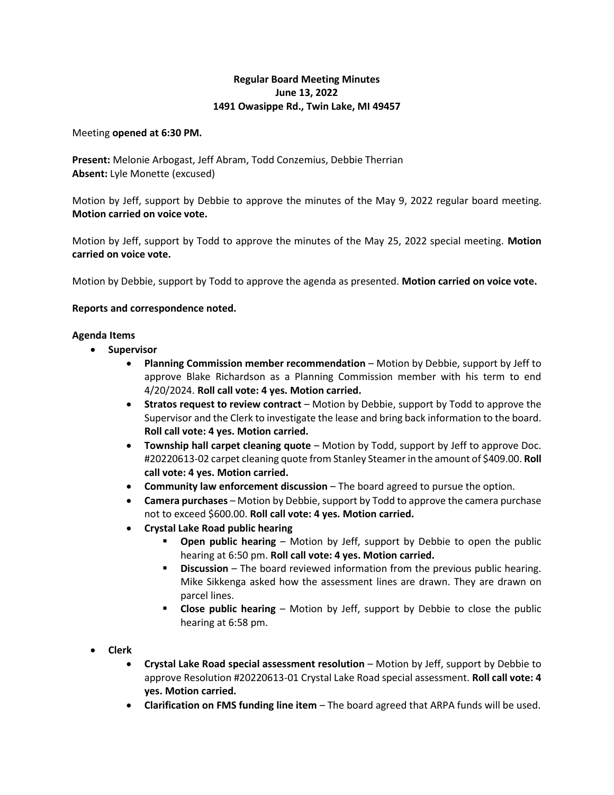## **Regular Board Meeting Minutes June 13, 2022 1491 Owasippe Rd., Twin Lake, MI 49457**

Meeting **opened at 6:30 PM.**

**Present:** Melonie Arbogast, Jeff Abram, Todd Conzemius, Debbie Therrian **Absent:** Lyle Monette (excused)

Motion by Jeff, support by Debbie to approve the minutes of the May 9, 2022 regular board meeting. **Motion carried on voice vote.**

Motion by Jeff, support by Todd to approve the minutes of the May 25, 2022 special meeting. **Motion carried on voice vote.**

Motion by Debbie, support by Todd to approve the agenda as presented. **Motion carried on voice vote.**

## **Reports and correspondence noted.**

## **Agenda Items**

- **Supervisor**
	- **Planning Commission member recommendation** Motion by Debbie, support by Jeff to approve Blake Richardson as a Planning Commission member with his term to end 4/20/2024. **Roll call vote: 4 yes. Motion carried.**
	- **Stratos request to review contract** Motion by Debbie, support by Todd to approve the Supervisor and the Clerk to investigate the lease and bring back information to the board. **Roll call vote: 4 yes. Motion carried.**
	- **Township hall carpet cleaning quote**  Motion by Todd, support by Jeff to approve Doc. #20220613-02 carpet cleaning quote from Stanley Steamer in the amount of \$409.00. **Roll call vote: 4 yes. Motion carried.**
	- **Community law enforcement discussion**  The board agreed to pursue the option.
	- **Camera purchases**  Motion by Debbie, support by Todd to approve the camera purchase not to exceed \$600.00. **Roll call vote: 4 yes. Motion carried.**
	- **Crystal Lake Road public hearing**
		- **Open public hearing** Motion by Jeff, support by Debbie to open the public hearing at 6:50 pm. **Roll call vote: 4 yes. Motion carried.**
		- **Discussion** The board reviewed information from the previous public hearing. Mike Sikkenga asked how the assessment lines are drawn. They are drawn on parcel lines.
		- **Close public hearing**  Motion by Jeff, support by Debbie to close the public hearing at 6:58 pm.
- **Clerk**
	- **Crystal Lake Road special assessment resolution**  Motion by Jeff, support by Debbie to approve Resolution #20220613-01 Crystal Lake Road special assessment. **Roll call vote: 4 yes. Motion carried.**
	- **Clarification on FMS funding line item**  The board agreed that ARPA funds will be used.